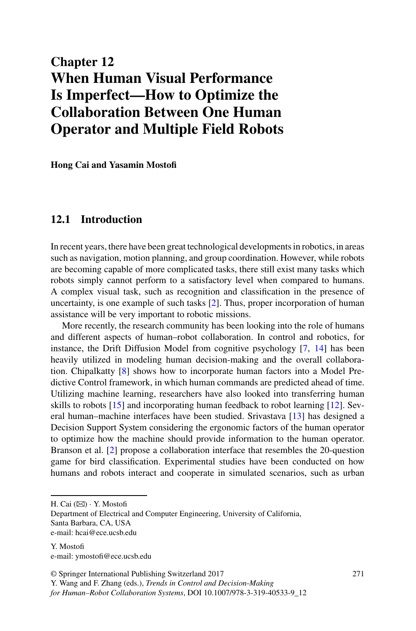# **Chapter 12 When Human Visual Performance Is Imperfect—How to Optimize the Collaboration Between One Human Operator and Multiple Field Robots**

**Hong Cai and Yasamin Mostofi**

## **12.1 Introduction**

In recent years, there have been great technological developments in robotics, in areas such as navigation, motion planning, and group coordination. However, while robots are becoming capable of more complicated tasks, there still exist many tasks which robots simply cannot perform to a satisfactory level when compared to humans. A complex visual task, such as recognition and classification in the presence of uncertainty, is one example of such tasks [\[2](#page-27-0)]. Thus, proper incorporation of human assistance will be very important to robotic missions.

More recently, the research community has been looking into the role of humans and different aspects of human–robot collaboration. In control and robotics, for instance, the Drift Diffusion Model from cognitive psychology [\[7](#page-28-0), [14](#page-28-1)] has been heavily utilized in modeling human decision-making and the overall collaboration. Chipalkatty [\[8\]](#page-28-2) shows how to incorporate human factors into a Model Predictive Control framework, in which human commands are predicted ahead of time. Utilizing machine learning, researchers have also looked into transferring human skills to robots [\[15](#page-28-3)] and incorporating human feedback to robot learning [\[12\]](#page-28-4). Several human–machine interfaces have been studied. Srivastava [\[13\]](#page-28-5) has designed a Decision Support System considering the ergonomic factors of the human operator to optimize how the machine should provide information to the human operator. Branson et al. [\[2\]](#page-27-0) propose a collaboration interface that resembles the 20-question game for bird classification. Experimental studies have been conducted on how humans and robots interact and cooperate in simulated scenarios, such as urban

Department of Electrical and Computer Engineering, University of California, Santa Barbara, CA, USA e-mail: hcai@ece.ucsb.edu

Y. Mostofi e-mail: ymostofi@ece.ucsb.edu

H. Cai (⊠) · Y. Mostofi

<sup>©</sup> Springer International Publishing Switzerland 2017

Y. Wang and F. Zhang (eds.), *Trends in Control and Decision-Making for Human–Robot Collaboration Systems*, DOI 10.1007/978-3-319-40533-9\_12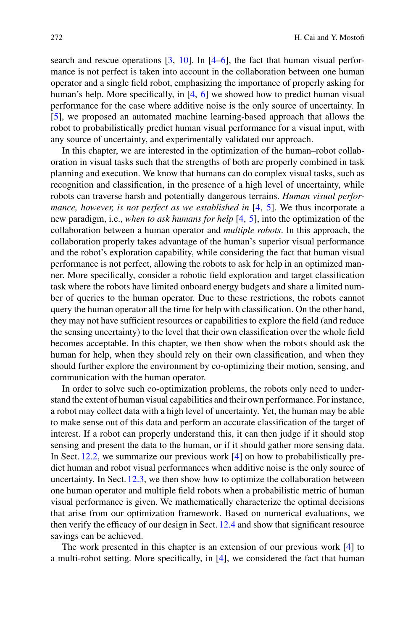search and rescue operations  $[3, 10]$  $[3, 10]$  $[3, 10]$  $[3, 10]$ . In  $[4–6]$  $[4–6]$  $[4–6]$ , the fact that human visual performance is not perfect is taken into account in the collaboration between one human operator and a single field robot, emphasizing the importance of properly asking for human's help. More specifically, in [\[4,](#page-27-2) [6](#page-27-3)] we showed how to predict human visual performance for the case where additive noise is the only source of uncertainty. In [\[5\]](#page-27-4), we proposed an automated machine learning-based approach that allows the robot to probabilistically predict human visual performance for a visual input, with any source of uncertainty, and experimentally validated our approach.

In this chapter, we are interested in the optimization of the human–robot collaboration in visual tasks such that the strengths of both are properly combined in task planning and execution. We know that humans can do complex visual tasks, such as recognition and classification, in the presence of a high level of uncertainty, while robots can traverse harsh and potentially dangerous terrains. *Human visual performance, however, is not perfect as we established in* [\[4](#page-27-2), [5\]](#page-27-4). We thus incorporate a new paradigm, i.e., *when to ask humans for help* [\[4,](#page-27-2) [5](#page-27-4)], into the optimization of the collaboration between a human operator and *multiple robots*. In this approach, the collaboration properly takes advantage of the human's superior visual performance and the robot's exploration capability, while considering the fact that human visual performance is not perfect, allowing the robots to ask for help in an optimized manner. More specifically, consider a robotic field exploration and target classification task where the robots have limited onboard energy budgets and share a limited number of queries to the human operator. Due to these restrictions, the robots cannot query the human operator all the time for help with classification. On the other hand, they may not have sufficient resources or capabilities to explore the field (and reduce the sensing uncertainty) to the level that their own classification over the whole field becomes acceptable. In this chapter, we then show when the robots should ask the human for help, when they should rely on their own classification, and when they should further explore the environment by co-optimizing their motion, sensing, and communication with the human operator.

In order to solve such co-optimization problems, the robots only need to understand the extent of human visual capabilities and their own performance. For instance, a robot may collect data with a high level of uncertainty. Yet, the human may be able to make sense out of this data and perform an accurate classification of the target of interest. If a robot can properly understand this, it can then judge if it should stop sensing and present the data to the human, or if it should gather more sensing data. In Sect. [12.2,](#page-2-0) we summarize our previous work [\[4\]](#page-27-2) on how to probabilistically predict human and robot visual performances when additive noise is the only source of uncertainty. In Sect. [12.3,](#page-4-0) we then show how to optimize the collaboration between one human operator and multiple field robots when a probabilistic metric of human visual performance is given. We mathematically characterize the optimal decisions that arise from our optimization framework. Based on numerical evaluations, we then verify the efficacy of our design in Sect. [12.4](#page-12-0) and show that significant resource savings can be achieved.

The work presented in this chapter is an extension of our previous work [\[4\]](#page-27-2) to a multi-robot setting. More specifically, in [\[4](#page-27-2)], we considered the fact that human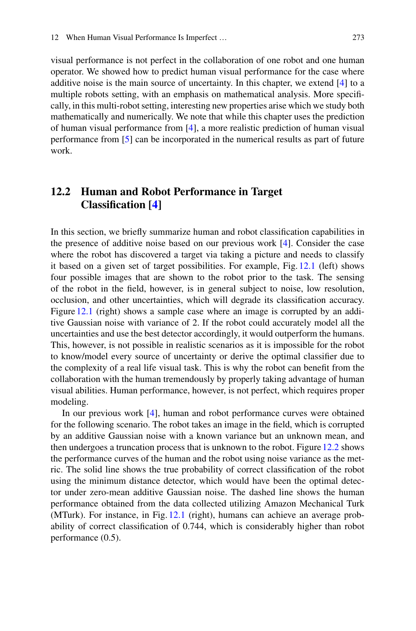visual performance is not perfect in the collaboration of one robot and one human operator. We showed how to predict human visual performance for the case where additive noise is the main source of uncertainty. In this chapter, we extend [\[4\]](#page-27-2) to a multiple robots setting, with an emphasis on mathematical analysis. More specifically, in this multi-robot setting, interesting new properties arise which we study both mathematically and numerically. We note that while this chapter uses the prediction of human visual performance from [\[4](#page-27-2)], a more realistic prediction of human visual performance from [\[5\]](#page-27-4) can be incorporated in the numerical results as part of future work.

# <span id="page-2-0"></span>**12.2 Human and Robot Performance in Target Classification [\[4\]](#page-27-2)**

In this section, we briefly summarize human and robot classification capabilities in the presence of additive noise based on our previous work [\[4](#page-27-2)]. Consider the case where the robot has discovered a target via taking a picture and needs to classify it based on a given set of target possibilities. For example, Fig. [12.1](#page-3-0) (left) shows four possible images that are shown to the robot prior to the task. The sensing of the robot in the field, however, is in general subject to noise, low resolution, occlusion, and other uncertainties, which will degrade its classification accuracy. Figure [12.1](#page-3-0) (right) shows a sample case where an image is corrupted by an additive Gaussian noise with variance of 2. If the robot could accurately model all the uncertainties and use the best detector accordingly, it would outperform the humans. This, however, is not possible in realistic scenarios as it is impossible for the robot to know/model every source of uncertainty or derive the optimal classifier due to the complexity of a real life visual task. This is why the robot can benefit from the collaboration with the human tremendously by properly taking advantage of human visual abilities. Human performance, however, is not perfect, which requires proper modeling.

In our previous work [\[4](#page-27-2)], human and robot performance curves were obtained for the following scenario. The robot takes an image in the field, which is corrupted by an additive Gaussian noise with a known variance but an unknown mean, and then undergoes a truncation process that is unknown to the robot. Figure [12.2](#page-3-1) shows the performance curves of the human and the robot using noise variance as the metric. The solid line shows the true probability of correct classification of the robot using the minimum distance detector, which would have been the optimal detector under zero-mean additive Gaussian noise. The dashed line shows the human performance obtained from the data collected utilizing Amazon Mechanical Turk (MTurk). For instance, in Fig. [12.1](#page-3-0) (right), humans can achieve an average probability of correct classification of 0.744, which is considerably higher than robot performance (0.5).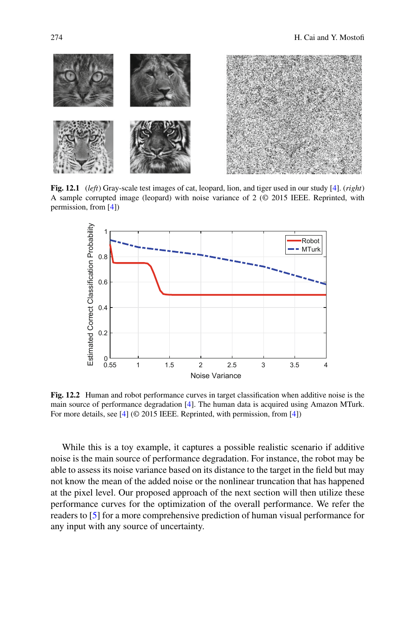

**Fig. 12.1** (*left*) Gray-scale test images of cat, leopard, lion, and tiger used in our study [\[4\]](#page-27-2). (*right*) A sample corrupted image (leopard) with noise variance of 2 (© 2015 IEEE. Reprinted, with permission, from [\[4\]](#page-27-2))

<span id="page-3-0"></span>

<span id="page-3-1"></span>**Fig. 12.2** Human and robot performance curves in target classification when additive noise is the main source of performance degradation [\[4](#page-27-2)]. The human data is acquired using Amazon MTurk. For more details, see [\[4](#page-27-2)] (© 2015 IEEE. Reprinted, with permission, from [\[4\]](#page-27-2))

While this is a toy example, it captures a possible realistic scenario if additive noise is the main source of performance degradation. For instance, the robot may be able to assess its noise variance based on its distance to the target in the field but may not know the mean of the added noise or the nonlinear truncation that has happened at the pixel level. Our proposed approach of the next section will then utilize these performance curves for the optimization of the overall performance. We refer the readers to [\[5\]](#page-27-4) for a more comprehensive prediction of human visual performance for any input with any source of uncertainty.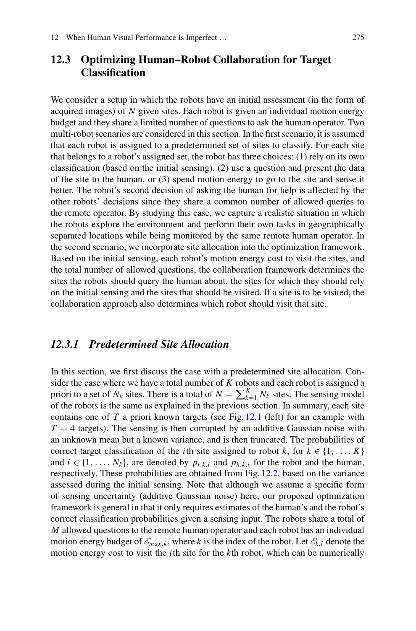# <span id="page-4-0"></span>**12.3 Optimizing Human–Robot Collaboration for Target Classification**

We consider a setup in which the robots have an initial assessment (in the form of acquired images) of *N* given sites. Each robot is given an individual motion energy budget and they share a limited number of questions to ask the human operator. Two multi-robot scenarios are considered in this section. In the first scenario, it is assumed that each robot is assigned to a predetermined set of sites to classify. For each site that belongs to a robot's assigned set, the robot has three choices: (1) rely on its own classification (based on the initial sensing), (2) use a question and present the data of the site to the human, or (3) spend motion energy to go to the site and sense it better. The robot's second decision of asking the human for help is affected by the other robots' decisions since they share a common number of allowed queries to the remote operator. By studying this case, we capture a realistic situation in which the robots explore the environment and perform their own tasks in geographically separated locations while being monitored by the same remote human operator. In the second scenario, we incorporate site allocation into the optimization framework. Based on the initial sensing, each robot's motion energy cost to visit the sites, and the total number of allowed questions, the collaboration framework determines the sites the robots should query the human about, the sites for which they should rely on the initial sensing and the sites that should be visited. If a site is to be visited, the collaboration approach also determines which robot should visit that site.

### *12.3.1 Predetermined Site Allocation*

In this section, we first discuss the case with a predetermined site allocation. Consider the case where we have a total number of *K* robots and each robot is assigned a priori to a set of  $N_k$  sites. There is a total of  $N = \sum_{k=1}^{K} N_k$  sites. The sensing model of the robots is the same as explained in the previous section. In summary, each site contains one of *T* a priori known targets (see Fig. [12.1](#page-3-0) (left) for an example with  $T = 4$  targets). The sensing is then corrupted by an additive Gaussian noise with an unknown mean but a known variance, and is then truncated. The probabilities of correct target classification of the *i*th site assigned to robot *k*, for  $k \in \{1, \ldots, K\}$ and  $i \in \{1, \ldots, N_k\}$ , are denoted by  $p_{r,k,i}$  and  $p_{h,k,i}$  for the robot and the human, respectively. These probabilities are obtained from Fig. [12.2,](#page-3-1) based on the variance assessed during the initial sensing. Note that although we assume a specific form of sensing uncertainty (additive Gaussian noise) here, our proposed optimization framework is general in that it only requires estimates of the human's and the robot's correct classification probabilities given a sensing input. The robots share a total of *M* allowed questions to the remote human operator and each robot has an individual motion energy budget of  $\mathcal{E}_{max,k}$ , where *k* is the index of the robot. Let  $\mathcal{E}_{k,i}$  denote the motion energy cost to visit the *i*th site for the *k*th robot, which can be numerically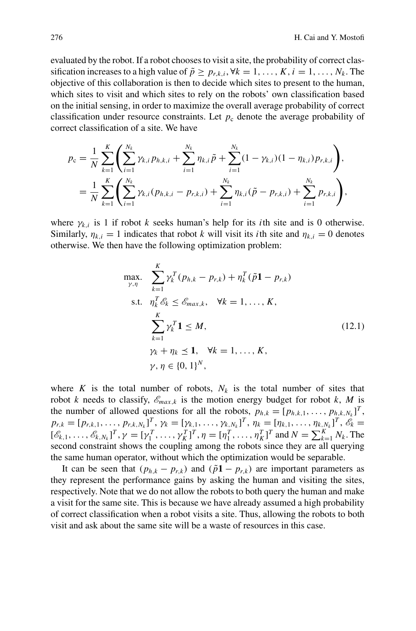evaluated by the robot. If a robot chooses to visit a site, the probability of correct classification increases to a high value of  $\tilde{p} \ge p_{r,k,i}$ ,  $\forall k = 1, ..., K, i = 1, ..., N_k$ . The objective of this collaboration is then to decide which sites to present to the human, which sites to visit and which sites to rely on the robots' own classification based on the initial sensing, in order to maximize the overall average probability of correct classification under resource constraints. Let  $p_c$  denote the average probability of correct classification of a site. We have

$$
p_{c} = \frac{1}{N} \sum_{k=1}^{K} \left( \sum_{i=1}^{N_{k}} \gamma_{k,i} p_{h,k,i} + \sum_{i=1}^{N_{k}} \eta_{k,i} \tilde{p} + \sum_{i=1}^{N_{k}} (1 - \gamma_{k,i}) (1 - \eta_{k,i}) p_{r,k,i} \right),
$$
  
= 
$$
\frac{1}{N} \sum_{k=1}^{K} \left( \sum_{i=1}^{N_{k}} \gamma_{k,i} (p_{h,k,i} - p_{r,k,i}) + \sum_{i=1}^{N_{k}} \eta_{k,i} (\tilde{p} - p_{r,k,i}) + \sum_{i=1}^{N_{k}} p_{r,k,i} \right),
$$

where  $\gamma_{k,i}$  is 1 if robot *k* seeks human's help for its *i*th site and is 0 otherwise. Similarly,  $\eta_{k,i} = 1$  indicates that robot *k* will visit its *i*th site and  $\eta_{k,i} = 0$  denotes otherwise. We then have the following optimization problem:

<span id="page-5-0"></span>
$$
\max_{\gamma,\eta} \sum_{k=1}^{K} \gamma_k^T (p_{h,k} - p_{r,k}) + \eta_k^T (\tilde{p} \mathbf{1} - p_{r,k})
$$
\n
$$
\text{s.t. } \eta_k^T \mathcal{E}_k \le \mathcal{E}_{max,k}, \quad \forall k = 1, ..., K,
$$
\n
$$
\sum_{k=1}^{K} \gamma_k^T \mathbf{1} \le M,
$$
\n
$$
\gamma_k + \eta_k \le \mathbf{1}, \quad \forall k = 1, ..., K,
$$
\n
$$
\gamma, \eta \in \{0, 1\}^N,
$$
\n(12.1)

where *K* is the total number of robots,  $N_k$  is the total number of sites that robot *k* needs to classify,  $\mathcal{E}_{max,k}$  is the motion energy budget for robot *k*, *M* is the number of allowed questions for all the robots,  $p_{h,k} = [p_{h,k,1}, \ldots, p_{h,k,N_k}]^T$ ,  $p_{r,k} = [p_{r,k,1}, \ldots, p_{r,k,N_k}]^T$ ,  $\gamma_k = [\gamma_{k,1}, \ldots, \gamma_{k,N_k}]^T$ ,  $\eta_k = [\eta_{k,1}, \ldots, \eta_{k,N_k}]^T$ ,  $\mathscr{E}_k =$  $[\mathcal{E}_{k,1}, \dots, \mathcal{E}_{k,N_k}]^T$ ,  $\gamma = [\gamma_1^T, \dots, \gamma_K^T]^T$ ,  $\eta = [\eta_1^T, \dots, \eta_K^T]^T$  and  $N = \sum_{k=1}^K N_k$ . The second constraint shows the coupling among the robots since they are all querying the same human operator, without which the optimization would be separable.

It can be seen that  $(p_{h,k} - p_{r,k})$  and  $(\tilde{p}1 - p_{r,k})$  are important parameters as they represent the performance gains by asking the human and visiting the sites, respectively. Note that we do not allow the robots to both query the human and make a visit for the same site. This is because we have already assumed a high probability of correct classification when a robot visits a site. Thus, allowing the robots to both visit and ask about the same site will be a waste of resources in this case.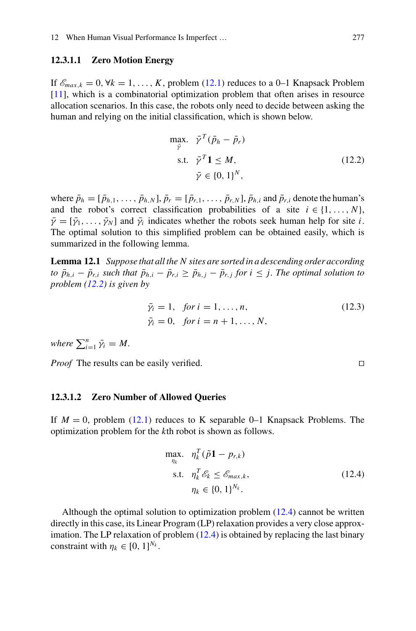#### **12.3.1.1 Zero Motion Energy**

If  $\mathcal{E}_{max,k} = 0$ ,  $\forall k = 1, ..., K$ , problem [\(12.1\)](#page-5-0) reduces to a 0–1 Knapsack Problem [\[11\]](#page-28-7), which is a combinatorial optimization problem that often arises in resource allocation scenarios. In this case, the robots only need to decide between asking the human and relying on the initial classification, which is shown below.

<span id="page-6-0"></span>
$$
\max_{\tilde{\gamma}} \quad \tilde{\gamma}^T(\bar{p}_h - \bar{p}_r)
$$
\n
$$
\text{s.t.} \quad \tilde{\gamma}^T \mathbf{1} \le M, \quad \tilde{\gamma} \in \{0, 1\}^N, \quad (12.2)
$$

where  $\bar{p}_h = [\bar{p}_{h,1}, \ldots, \bar{p}_{h,N}], \bar{p}_r = [\bar{p}_{r,1}, \ldots, \bar{p}_{r,N}], \bar{p}_{h,i}$  and  $\bar{p}_{r,i}$  denote the human's and the robot's correct classification probabilities of a site  $i \in \{1, ..., N\}$ ,  $\bar{\gamma} = [\bar{\gamma}_1, \ldots, \bar{\gamma}_N]$  and  $\bar{\gamma}_i$  indicates whether the robots seek human help for site *i*. The optimal solution to this simplified problem can be obtained easily, which is summarized in the following lemma.

<span id="page-6-2"></span>**Lemma 12.1** *Suppose that all the N sites are sorted in a descending order according to*  $\bar{p}_{h,i} - \bar{p}_{r,i}$  *such that*  $\bar{p}_{h,i} - \bar{p}_{r,i} \geq \bar{p}_{h,j} - \bar{p}_{r,j}$  *for*  $i \leq j$ *. The optimal solution to problem [\(12.2\)](#page-6-0) is given by*

$$
\bar{\gamma}_i = 1, \text{ for } i = 1, ..., n,
$$
  
\n
$$
\bar{\gamma}_i = 0, \text{ for } i = n+1, ..., N,
$$
\n(12.3)

*where*  $\sum_{i=1}^{n} \bar{\gamma}_i = M$ .

*Proof* The results can be easily verified.

#### **12.3.1.2 Zero Number of Allowed Queries**

If  $M = 0$ , problem [\(12.1\)](#page-5-0) reduces to K separable 0–1 Knapsack Problems. The optimization problem for the *k*th robot is shown as follows.

<span id="page-6-1"></span>
$$
\max_{\eta_k} \quad \eta_k^T (\tilde{p} \mathbf{1} - p_{r,k})
$$
\n
$$
\text{s.t.} \quad \eta_k^T \mathcal{E}_k \le \mathcal{E}_{\max,k},
$$
\n
$$
\eta_k \in \{0, 1\}^{N_k}.
$$
\n
$$
(12.4)
$$

Although the optimal solution to optimization problem [\(12.4\)](#page-6-1) cannot be written directly in this case, its Linear Program (LP) relaxation provides a very close approximation. The LP relaxation of problem [\(12.4\)](#page-6-1) is obtained by replacing the last binary constraint with  $\eta_k \in [0, 1]^{N_k}$ .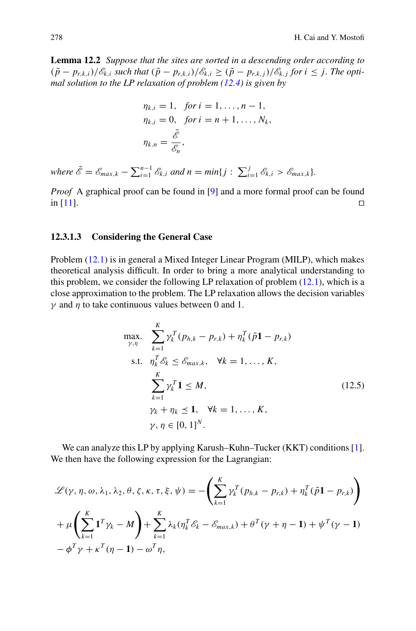**Lemma 12.2** *Suppose that the sites are sorted in a descending order according to*  $(\tilde{p} - p_{r,k,i})/\mathscr{E}_{k,i}$  such that  $(\tilde{p} - p_{r,k,i})/\mathscr{E}_{k,i} \geq (\tilde{p} - p_{r,k,i})/\mathscr{E}_{k,i}$  for  $i \leq j$ . The opti-*mal solution to the LP relaxation of problem [\(12.4\)](#page-6-1) is given by* 

$$
\eta_{k,i} = 1, \quad \text{for } i = 1, \dots, n-1,
$$
\n
$$
\eta_{k,i} = 0, \quad \text{for } i = n+1, \dots, N_k,
$$
\n
$$
\eta_{k,n} = \frac{\bar{\mathscr{E}}}{\mathscr{E}_n},
$$

where  $\bar{\mathscr{E}} = \mathscr{E}_{max,k} - \sum_{i=1}^{n-1} \mathscr{E}_{k,i}$  and  $n = min\{j : \sum_{i=1}^{j} \mathscr{E}_{k,i} > \mathscr{E}_{max,k}\}.$ 

*Proof* A graphical proof can be found in [\[9](#page-28-8)] and a more formal proof can be found in  $[11]$  $[11]$ .

#### **12.3.1.3 Considering the General Case**

Problem [\(12.1\)](#page-5-0) is in general a Mixed Integer Linear Program (MILP), which makes theoretical analysis difficult. In order to bring a more analytical understanding to this problem, we consider the following LP relaxation of problem [\(12.1\)](#page-5-0), which is a close approximation to the problem. The LP relaxation allows the decision variables  $γ$  and  $η$  to take continuous values between 0 and 1.

$$
\max_{\gamma,\eta} \sum_{k=1}^{K} \gamma_k^T (p_{h,k} - p_{r,k}) + \eta_k^T (\tilde{p} \mathbf{1} - p_{r,k})
$$
\n
$$
\text{s.t. } \eta_k^T \mathcal{E}_k \le \mathcal{E}_{max,k}, \quad \forall k = 1, ..., K,
$$
\n
$$
\sum_{k=1}^{K} \gamma_k^T \mathbf{1} \le M,
$$
\n
$$
\gamma_k + \eta_k \le \mathbf{1}, \quad \forall k = 1, ..., K,
$$
\n
$$
\gamma, \eta \in [0, 1]^N.
$$
\n(12.5)

We can analyze this LP by applying Karush–Kuhn–Tucker (KKT) conditions [\[1](#page-27-5)]. We then have the following expression for the Lagrangian:

$$
\mathcal{L}(\gamma, \eta, \omega, \lambda_1, \lambda_2, \theta, \zeta, \kappa, \tau, \xi, \psi) = -\left(\sum_{k=1}^K \gamma_k^T (p_{h,k} - p_{r,k}) + \eta_k^T (\tilde{p} \mathbf{1} - p_{r,k})\right) + \mu \left(\sum_{k=1}^K \mathbf{1}^T \gamma_k - M\right) + \sum_{k=1}^K \lambda_k (\eta_k^T \mathcal{E}_k - \mathcal{E}_{max,k}) + \theta^T (\gamma + \eta - 1) + \psi^T (\gamma - 1) - \phi^T \gamma + \kappa^T (\eta - 1) - \omega^T \eta,
$$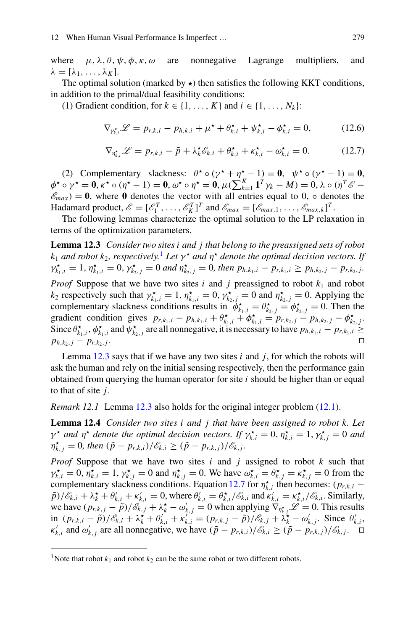where  $\mu, \lambda, \theta, \psi, \phi, \kappa, \omega$  are nonnegative Lagrange multipliers, and  $\lambda = [\lambda_1, \ldots, \lambda_K].$ 

The optimal solution (marked by  $\star$ ) then satisfies the following KKT conditions, in addition to the primal/dual feasibility conditions:

(1) Gradient condition, for  $k \in \{1, \ldots, K\}$  and  $i \in \{1, \ldots, N_k\}$ :

$$
\nabla_{\gamma_{k,i}^{\star}} \mathscr{L} = p_{r,k,i} - p_{h,k,i} + \mu^{\star} + \theta_{k,i}^{\star} + \psi_{k,i}^{\star} - \phi_{k,i}^{\star} = 0, \quad (12.6)
$$

<span id="page-8-1"></span>
$$
\nabla_{\eta_{k,i}^{\star}} \mathscr{L} = p_{r,k,i} - \tilde{p} + \lambda_k^{\star} \mathscr{E}_{k,i} + \theta_{k,i}^{\star} + \kappa_{k,i}^{\star} - \omega_{k,i}^{\star} = 0. \tag{12.7}
$$

<span id="page-8-2"></span>(2) Complementary slackness:  $\theta^* \circ (\gamma^* + \eta^* - 1) = 0$ ,  $\psi^* \circ (\gamma^* - 1) = 0$ ,  $\phi^* \circ \gamma^* = 0$ ,  $\kappa^* \circ (\eta^* - 1) = 0$ ,  $\omega^* \circ \eta^* = 0$ ,  $\mu (\sum_{k=1}^K \mathbf{1}^T \gamma_k - M) = 0$ ,  $\lambda \circ (\eta^T \mathcal{E} - 1)$  $\mathcal{E}_{max}$ ) = 0, where 0 denotes the vector with all entries equal to 0, ∘ denotes the Hadamard product,  $\mathcal{E} = [\mathcal{E}_1^T, \dots, \mathcal{E}_K^T]^T$  and  $\mathcal{E}_{max} = [\mathcal{E}_{max,1}, \dots, \mathcal{E}_{max,k}]^T$ .

The following lemmas characterize the optimal solution to the LP relaxation in terms of the optimization parameters.

**Lemma 12.3** *Consider two sites i and j that belong to the preassigned sets of robot*  $k_1$  $k_1$  *and robot*  $k_2$ *, respectively.*<sup>1</sup> *Let*  $\gamma^*$  *and*  $\eta^*$  *denote the optimal decision vectors. If*  $\gamma_{k_1,i}^{\star} = 1, \eta_{k_1,i}^{\star} = 0, \gamma_{k_2,j}^{\star} = 0$  and  $\eta_{k_2,j}^{\star} = 0$ , then  $p_{h,k_1,i} - p_{r,k_1,i} \geq p_{h,k_2,j} - p_{r,k_2,j}$ . *Proof* Suppose that we have two sites  $i$  and  $j$  preassigned to robot  $k_1$  and robot *k*<sub>2</sub> respectively such that  $\gamma_{k_1,i}^{\star} = 1$ ,  $\eta_{k_1,i}^{\star} = 0$ ,  $\gamma_{k_2,j}^{\star} = 0$  and  $\eta_{k_2,j}^{\star} = 0$ . Applying the complementary slackness conditions results in  $\phi_{k_1,i}^* = \theta_{k_2,j}^* = \phi_{k_2,j}^* = 0$ . Then the gradient condition gives  $p_{r,k_1,i} - p_{h,k_1,i} + \theta_{k_1,i}^* + \phi_{k_1,i}^* = p_{r,k_2,j} - p_{h,k_2,j} - \phi_{k_2,j}^*$ . Since  $\theta_{k_1,i}^{\star}$ ,  $\phi_{k_1,i}^{\star}$  and  $\psi_{k_2,j}^{\star}$  are all nonnegative, it is necessary to have  $p_{h,k_1,i} - p_{r,k_1,i} \geq$  $p_{h,k_2,j} - p_{r,k_2,j}$ .

Lemma [12.3](#page-8-1) says that if we have any two sites *i* and *j*, for which the robots will ask the human and rely on the initial sensing respectively, then the performance gain obtained from querying the human operator for site *i* should be higher than or equal to that of site *j*.

<span id="page-8-3"></span>*Remark 12.1* Lemma [12.3](#page-8-1) also holds for the original integer problem [\(12.1\)](#page-5-0).

**Lemma 12.4** *Consider two sites i and j that have been assigned to robot k. Let*  $\gamma^*$  and  $\eta^*$  denote the optimal decision vectors. If  $\gamma^*_{k,i} = 0$ ,  $\eta^*_{k,i} = 1$ ,  $\gamma^*_{k,j} = 0$  and  $\eta_{k,j}^{\star} = 0$ , then  $(\tilde{p} - p_{r,k,i})/\mathscr{E}_{k,i} \geq (\tilde{p} - p_{r,k,j})/\mathscr{E}_{k,j}$ .

*Proof* Suppose that we have two sites *i* and *j* assigned to robot *k* such that  $\gamma_{k,i}^{\star} = 0$ ,  $\eta_{k,i}^{\star} = 1$ ,  $\gamma_{k,j}^{\star} = 0$  and  $\eta_{k,j}^{\star} = 0$ . We have  $\omega_{k,i}^{\star} = \theta_{k,j}^{\star} = \kappa_{k,j}^{\star} = 0$  from the complementary slackness conditions. Equation [12.7](#page-8-2) for  $\eta_{k,i}^{\star}$  then becomes: ( $p_{r,k,i}$  –  $\tilde{p}$ )/ $\mathcal{E}_{k,i} + \lambda_k^* + \theta'_{k,i} + \kappa'_{k,i} = 0$ , where  $\theta'_{k,i} = \theta^*_{k,i}/\mathcal{E}_{k,i}$  and  $\kappa'_{k,i} = \kappa^*_{k,i}/\mathcal{E}_{k,i}$ . Similarly, we have  $(p_{r,k,j} - \tilde{p})/\mathscr{E}_{k,j} + \lambda_k^* - \omega_{k,j}' = 0$  when applying  $\nabla_{\eta_{k,j}^*} \mathscr{L} = 0$ . This results in  $(p_{r,k,i} - \tilde{p})/\mathscr{E}_{k,i} + \lambda_k^* + \theta'_{k,i} + \kappa_{k,i}' = (p_{r,k,j} - \tilde{p})/\mathscr{E}_{k,j} + \lambda_k^* - \omega'_{k,j}$ . Since  $\theta'_{k,i}$ ,  $\kappa'_{k,i}$  and  $\omega'_{k,j}$  are all nonnegative, we have  $(\tilde{p} - p_{r,k,i})/\mathscr{E}_{k,i} \geq (\tilde{p} - p_{r,k,j})/\mathscr{E}_{k,j}$ .  $\Box$ 

<span id="page-8-0"></span><sup>&</sup>lt;sup>1</sup>Note that robot  $k_1$  and robot  $k_2$  can be the same robot or two different robots.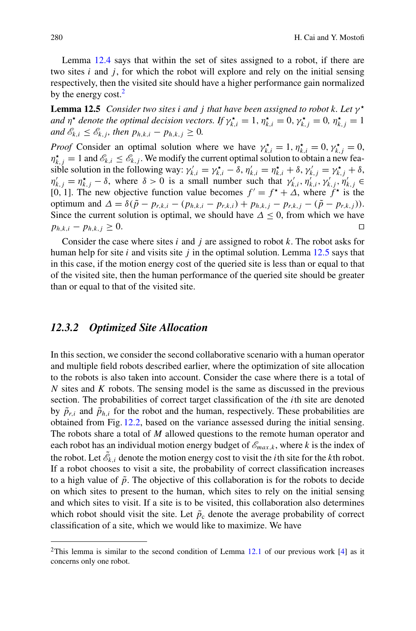Lemma [12.4](#page-8-3) says that within the set of sites assigned to a robot, if there are two sites *i* and *j*, for which the robot will explore and rely on the initial sensing respectively, then the visited site should have a higher performance gain normalized by the energy cost. $2$ 

<span id="page-9-1"></span>**Lemma 12.5** *Consider two sites i and j that have been assigned to robot k. Let*  $\gamma^*$ *and*  $\eta^*$  denote the optimal decision vectors. If  $\gamma^*_{k,i} = 1$ ,  $\eta^*_{k,i} = 0$ ,  $\gamma^*_{k,j} = 0$ ,  $\eta^*_{k,j} = 1$ *and*  $\mathcal{E}_{k,i} \leq \mathcal{E}_{k,i}$ , then  $p_{h,k,i} - p_{h,k,j} \geq 0$ .

*Proof* Consider an optimal solution where we have  $\gamma_{k,i}^* = 1$ ,  $\eta_{k,i}^* = 0$ ,  $\gamma_{k,j}^* = 0$ ,  $\eta_{k,j}^* = 1$  and  $\mathcal{E}_{k,i} \leq \mathcal{E}_{k,j}$ . We modify the current optimal solution to obtain a new feasible solution in the following way:  $\gamma'_{k,i} = \gamma^*_{k,i} - \delta$ ,  $\eta'_{k,i} = \eta^*_{k,i} + \delta$ ,  $\gamma'_{k,j} = \gamma^*_{k,j} + \delta$ ,  $\eta'_{k,j} = \eta^*_{k,j} - \delta$ , where  $\delta > 0$  is a small number such that  $\gamma'_{k,i}, \eta'_{k,i}, \gamma'_{k,j}, \eta'_{k,j} \in$ [0, 1]. The new objective function value becomes  $f' = f^* + \Delta$ , where  $f^*$  is the optimum and  $\Delta = \delta(\tilde{p} - p_{r,k,i} - (p_{h,k,i} - p_{r,k,i}) + p_{h,k,i} - p_{r,k,i} - (\tilde{p} - p_{r,k,i})).$ Since the current solution is optimal, we should have  $\Delta \leq 0$ , from which we have *p*<sub>*h*</sub>, $_{k,i}$  − *p*<sub>*h*</sub>, $_{k,i}$  ≥ 0.

Consider the case where sites *i* and *j* are assigned to robot *k*. The robot asks for human help for site  $i$  and visits site  $j$  in the optimal solution. Lemma [12.5](#page-9-1) says that in this case, if the motion energy cost of the queried site is less than or equal to that of the visited site, then the human performance of the queried site should be greater than or equal to that of the visited site.

### *12.3.2 Optimized Site Allocation*

In this section, we consider the second collaborative scenario with a human operator and multiple field robots described earlier, where the optimization of site allocation to the robots is also taken into account. Consider the case where there is a total of *N* sites and *K* robots. The sensing model is the same as discussed in the previous section. The probabilities of correct target classification of the *i*th site are denoted by  $\tilde{p}_{r,i}$  and  $\tilde{p}_{h,i}$  for the robot and the human, respectively. These probabilities are obtained from Fig. [12.2,](#page-3-1) based on the variance assessed during the initial sensing. The robots share a total of *M* allowed questions to the remote human operator and each robot has an individual motion energy budget of *Emax*,*<sup>k</sup>* , where *k* is the index of the robot. Let  $\mathcal{E}_{k,i}$  denote the motion energy cost to visit the *i*th site for the *k*th robot. If a robot chooses to visit a site, the probability of correct classification increases to a high value of  $\tilde{p}$ . The objective of this collaboration is for the robots to decide on which sites to present to the human, which sites to rely on the initial sensing and which sites to visit. If a site is to be visited, this collaboration also determines which robot should visit the site. Let  $\tilde{p}_c$  denote the average probability of correct classification of a site, which we would like to maximize. We have

<span id="page-9-0"></span><sup>&</sup>lt;sup>2</sup>This lemma is similar to the second condition of Lemma [12.1](#page-6-2) of our previous work  $[4]$  $[4]$  as it concerns only one robot.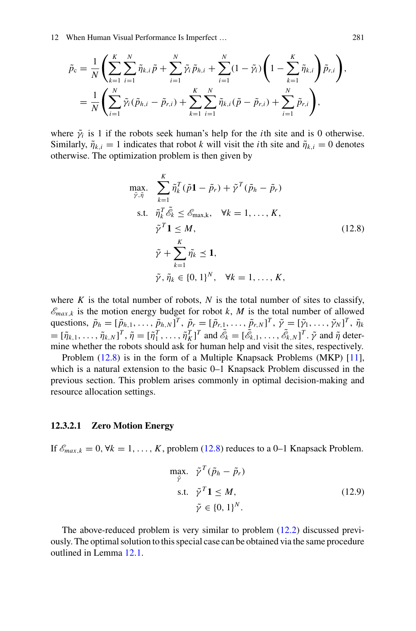$$
\tilde{p}_{c} = \frac{1}{N} \left( \sum_{k=1}^{K} \sum_{i=1}^{N} \tilde{\eta}_{k,i} \tilde{p} + \sum_{i=1}^{N} \tilde{\gamma}_{i} \tilde{p}_{h,i} + \sum_{i=1}^{N} (1 - \tilde{\gamma}_{i}) \left( 1 - \sum_{k=1}^{K} \tilde{\eta}_{k,i} \right) \tilde{p}_{r,i} \right),
$$
\n
$$
= \frac{1}{N} \left( \sum_{i=1}^{N} \tilde{\gamma}_{i} (\tilde{p}_{h,i} - \tilde{p}_{r,i}) + \sum_{k=1}^{K} \sum_{i=1}^{N} \tilde{\eta}_{k,i} (\tilde{p} - \tilde{p}_{r,i}) + \sum_{i=1}^{N} \tilde{p}_{r,i} \right),
$$

where  $\tilde{\gamma}_i$  is 1 if the robots seek human's help for the *i*th site and is 0 otherwise. Similarly,  $\tilde{\eta}_{k,i} = 1$  indicates that robot *k* will visit the *i*th site and  $\tilde{\eta}_{k,i} = 0$  denotes otherwise. The optimization problem is then given by

<span id="page-10-0"></span>
$$
\max_{\tilde{\gamma}, \tilde{\eta}} \sum_{k=1}^{K} \tilde{\eta}_k^T (\tilde{p} \mathbf{1} - \tilde{p}_r) + \tilde{\gamma}^T (\tilde{p}_h - \tilde{p}_r)
$$
\n
$$
\text{s.t. } \tilde{\eta}_k^T \tilde{\mathcal{E}}_k \leq \mathcal{E}_{\text{max}, k}, \quad \forall k = 1, \dots, K,
$$
\n
$$
\tilde{\gamma}^T \mathbf{1} \leq M,
$$
\n
$$
\tilde{\gamma} + \sum_{k=1}^{K} \tilde{\eta}_k \leq \mathbf{1},
$$
\n
$$
\tilde{\gamma}, \tilde{\eta}_k \in \{0, 1\}^N, \quad \forall k = 1, \dots, K,
$$
\n
$$
(12.8)
$$

where  $K$  is the total number of robots,  $N$  is the total number of sites to classify,  $\mathcal{E}_{max,k}$  is the motion energy budget for robot *k*, *M* is the total number of allowed questions,  $\tilde{p}_h = [\tilde{p}_{h,1}, \ldots, \tilde{p}_{h,N}]^T$ ,  $\tilde{p}_r = [\tilde{p}_{r,1}, \ldots, \tilde{p}_{r,N}]^T$ ,  $\tilde{\gamma}_r = [\tilde{\gamma}_1, \ldots, \tilde{\gamma}_N]^T$ ,  $\tilde{\eta}_k$  $=[\tilde{\eta}_{k,1},\ldots,\tilde{\eta}_{k,N}]^T$ ,  $\tilde{\eta} = [\tilde{\eta}_1^T,\ldots,\tilde{\eta}_K^T]^T$  and  $\tilde{\mathscr{E}}_k = [\tilde{\mathscr{E}}_{k,1},\ldots,\tilde{\mathscr{E}}_{k,N}]^T$ .  $\tilde{\gamma}$  and  $\tilde{\eta}$  determine whether the robots should ask for human help and visit the sites, respectively.

Problem [\(12.8\)](#page-10-0) is in the form of a Multiple Knapsack Problems (MKP) [\[11](#page-28-7)], which is a natural extension to the basic 0–1 Knapsack Problem discussed in the previous section. This problem arises commonly in optimal decision-making and resource allocation settings.

#### **12.3.2.1 Zero Motion Energy**

If  $\mathcal{E}_{max,k} = 0, \forall k = 1, \ldots, K$ , problem [\(12.8\)](#page-10-0) reduces to a 0–1 Knapsack Problem.

$$
\max_{\tilde{\gamma}} \quad \tilde{\gamma}^T (\tilde{p}_h - \tilde{p}_r)
$$
\n
$$
\text{s.t.} \quad \tilde{\gamma}^T \mathbf{1} \le M, \quad (\text{12.9})
$$
\n
$$
\tilde{\gamma} \in \{0, 1\}^N.
$$

The above-reduced problem is very similar to problem [\(12.2\)](#page-6-0) discussed previously. The optimal solution to this special case can be obtained via the same procedure outlined in Lemma [12.1.](#page-6-2)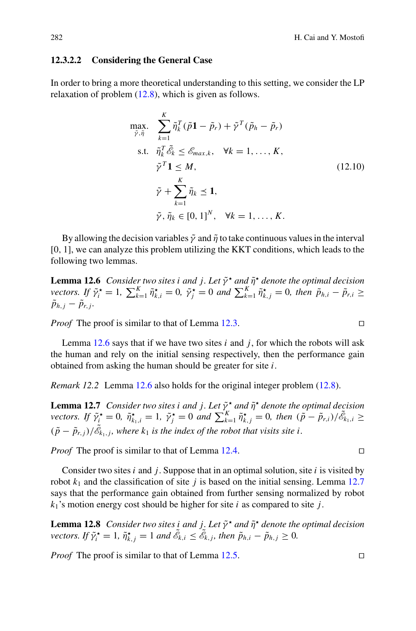#### **12.3.2.2 Considering the General Case**

In order to bring a more theoretical understanding to this setting, we consider the LP relaxation of problem [\(12.8\)](#page-10-0), which is given as follows.

$$
\max_{\tilde{y}, \tilde{\eta}} \sum_{k=1}^{K} \tilde{\eta}_k^T (\tilde{p} \mathbf{1} - \tilde{p}_r) + \tilde{\gamma}^T (\tilde{p}_h - \tilde{p}_r)
$$
\n
$$
\text{s.t. } \tilde{\eta}_k^T \tilde{\mathcal{E}}_k \leq \mathcal{E}_{max,k}, \quad \forall k = 1, \dots, K,
$$
\n
$$
\tilde{\gamma}^T \mathbf{1} \leq M,
$$
\n
$$
\tilde{\gamma} + \sum_{k=1}^{K} \tilde{\eta}_k \leq \mathbf{1},
$$
\n
$$
\tilde{\gamma}, \tilde{\eta}_k \in [0, 1]^N, \quad \forall k = 1, \dots, K.
$$
\n(12.10)

By allowing the decision variables  $\tilde{\gamma}$  and  $\tilde{\eta}$  to take continuous values in the interval [0, 1], we can analyze this problem utilizing the KKT conditions, which leads to the following two lemmas.

<span id="page-11-0"></span>**Lemma 12.6** *Consider two sites i and j. Let*  $\tilde{\gamma}^*$  *and*  $\tilde{\eta}^*$  *denote the optimal decision* vectors. If  $\tilde{\gamma}_i^* = 1$ ,  $\sum_{k=1}^K \tilde{\eta}_{k,i}^* = 0$ ,  $\tilde{\gamma}_j^* = 0$  and  $\sum_{k=1}^K \tilde{\eta}_{k,j}^* = 0$ , then  $\tilde{p}_{h,i} - \tilde{p}_{r,i} \ge$  $\tilde{p}_{h,i} - \tilde{p}_{r,i}$ .

*Proof* The proof is similar to that of Lemma [12.3.](#page-8-1)

Lemma  $12.6$  says that if we have two sites *i* and *j*, for which the robots will ask the human and rely on the initial sensing respectively, then the performance gain obtained from asking the human should be greater for site *i*.

<span id="page-11-1"></span>*Remark 12.2* Lemma [12.6](#page-11-0) also holds for the original integer problem [\(12.8\)](#page-10-0).

**Lemma 12.7** *Consider two sites i and j. Let*  $\tilde{\gamma}^*$  *and*  $\tilde{\eta}^*$  *denote the optimal decision* vectors. If  $\tilde{\gamma}^*_{\underline{i}} = 0$ ,  $\tilde{\eta}^*_{k_1,i} = 1$ ,  $\tilde{\gamma}^*_{j} = 0$  and  $\sum_{k=1}^K \tilde{\eta}^*_{k,j} = 0$ , then  $(\tilde{p} - \tilde{p}_{r,i})/\tilde{\mathscr{E}}_{k_1,i} \geq$  $(\tilde{p} - \tilde{p}_{r,j})/\mathscr{E}_{k_1,j}$ , where  $k_1$  *is the index of the robot that visits site i.* 

*Proof* The proof is similar to that of Lemma [12.4.](#page-8-3) □

Consider two sites *i* and *j*. Suppose that in an optimal solution, site *i* is visited by robot  $k_1$  and the classification of site *j* is based on the initial sensing. Lemma [12.7](#page-11-1) says that the performance gain obtained from further sensing normalized by robot *k*1's motion energy cost should be higher for site *i* as compared to site *j*.

<span id="page-11-2"></span>**Lemma 12.8** *Consider two sites i and j. Let*  $\tilde{\gamma}^*$  *and*  $\tilde{\eta}^*$  *denote the optimal decision*  $\hat{P}_{k,i}$   $\leq \hat{E}_{k,i}$ ,  $\hat{E}_{k,i}$ ,  $\leq \hat{E}_{k,i}$ ,  $\hat{P}_{k,i}$ ,  $\hat{P}_{k,i} - \hat{P}_{k,i} \geq 0$ .

*Proof* The proof is similar to that of Lemma [12.5.](#page-9-1)

$$
\sqcup
$$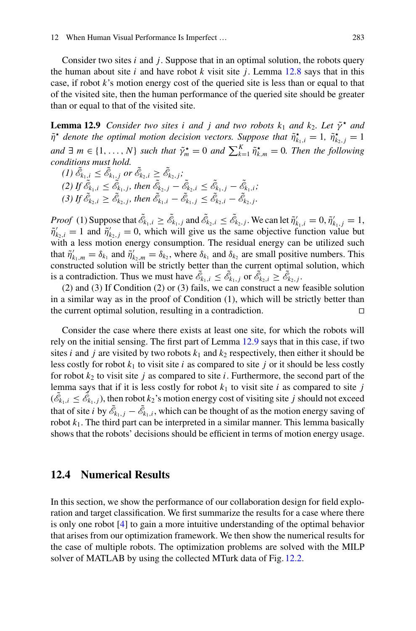Consider two sites *i* and *j*. Suppose that in an optimal solution, the robots query the human about site  $i$  and have robot  $k$  visit site  $j$ . Lemma [12.8](#page-11-2) says that in this case, if robot *k*'s motion energy cost of the queried site is less than or equal to that of the visited site, then the human performance of the queried site should be greater than or equal to that of the visited site.

<span id="page-12-1"></span>**Lemma 12.9** *Consider two sites i and j and two robots*  $k_1$  *and*  $k_2$ *. Let*  $\tilde{\gamma}^*$  *and*  $\tilde{\eta}^{\star}$  denote the optimal motion decision vectors. Suppose that  $\tilde{\eta}^{\star}_{k_1,i} = 1$ ,  $\tilde{\eta}^{\star}_{k_2,j} = 1$  $and \exists m \in \{1, ..., N\}$  *such that*  $\tilde{\gamma}_m^{\star} = 0$  *and*  $\sum_{k=1}^{K} \tilde{\eta}_{k,m}^{\star} = 0$ *. Then the following conditions must hold.*

 $(I)$   $\mathscr{E}_{k_1,i} \leq \mathscr{E}_{k_1,j}$  or  $\mathscr{E}_{k_2,i} \geq \mathscr{E}_{k_2,j}$ ;  $(2)$  If  $\mathscr{E}_{k_1,i} \leq \mathscr{E}_{k_1,j}$ , then  $\mathscr{E}_{k_2,j} - \mathscr{E}_{k_2,i} \leq \mathscr{E}_{k_1,j} - \mathscr{E}_{k_1,i}$ ;  $(3)$  If  $\mathscr{E}_{k_2,i} \geq \mathscr{E}_{k_2,j}$ , then  $\mathscr{E}_{k_1,i} - \mathscr{E}_{k_1,j} \leq \mathscr{E}_{k_2,i} - \mathscr{E}_{k_2,j}$ .

*Proof* (1) Suppose that  $\mathscr{E}_{k_1,i} \geq \mathscr{E}_{k_1,j}$  and  $\mathscr{E}_{k_2,i} \leq \mathscr{E}_{k_2,j}$ . We can let  $\tilde{\eta}'_{k_1,i} = 0$ ,  $\tilde{\eta}'_{k_1,j} = 1$ ,  $\tilde{\eta}'_{k_2,i} = 1$  and  $\tilde{\eta}'_{k_2,i} = 0$ , which will give us the same objective function value but with a less motion energy consumption. The residual energy can be utilized such that  $\tilde{\eta}'_{k_1,m} = \delta_{k_1}$  and  $\tilde{\eta}'_{k_2,m} = \delta_{k_2}$ , where  $\delta_{k_1}$  and  $\delta_{k_2}$  are small positive numbers. This constructed solution will be strictly better than the current optimal solution, which is a contradiction. Thus we must have  $\mathscr{E}_{k_1,i} \leq \mathscr{E}_{k_1,j}$  or  $\mathscr{E}_{k_2,i} \geq \mathscr{E}_{k_2,j}$ .

(2) and (3) If Condition (2) or (3) fails, we can construct a new feasible solution in a similar way as in the proof of Condition (1), which will be strictly better than the current optimal solution, resulting in a contradiction.

Consider the case where there exists at least one site, for which the robots will rely on the initial sensing. The first part of Lemma [12.9](#page-12-1) says that in this case, if two sites *i* and *j* are visited by two robots  $k_1$  and  $k_2$  respectively, then either it should be less costly for robot  $k_1$  to visit site *i* as compared to site *j* or it should be less costly for robot  $k_2$  to visit site *j* as compared to site *i*. Furthermore, the second part of the lemma says that if it is less costly for robot  $k_1$  to visit site *i* as compared to site *j*  $(\mathscr{E}_{k_1,i} \leq \mathscr{E}_{k_1,j})$ , then robot  $k_2$ 's motion energy cost of visiting site *j* should not exceed that of site *i* by  $\mathscr{E}_{k_1,j} - \mathscr{E}_{k_1,i}$ , which can be thought of as the motion energy saving of robot  $k_1$ . The third part can be interpreted in a similar manner. This lemma basically shows that the robots' decisions should be efficient in terms of motion energy usage.

### <span id="page-12-0"></span>**12.4 Numerical Results**

In this section, we show the performance of our collaboration design for field exploration and target classification. We first summarize the results for a case where there is only one robot [\[4\]](#page-27-2) to gain a more intuitive understanding of the optimal behavior that arises from our optimization framework. We then show the numerical results for the case of multiple robots. The optimization problems are solved with the MILP solver of MATLAB by using the collected MTurk data of Fig. [12.2.](#page-3-1)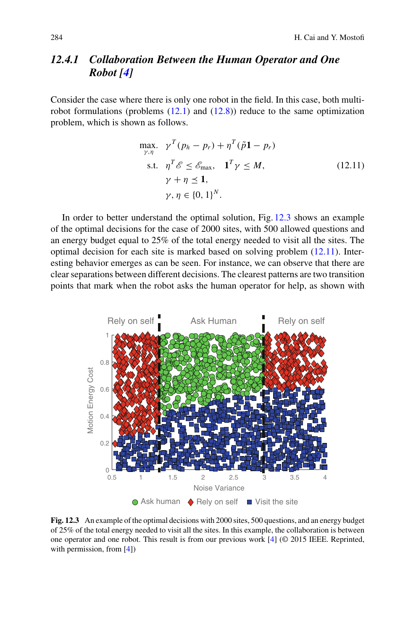# *12.4.1 Collaboration Between the Human Operator and One Robot [\[4\]](#page-27-2)*

Consider the case where there is only one robot in the field. In this case, both multirobot formulations (problems  $(12.1)$  and  $(12.8)$ ) reduce to the same optimization problem, which is shown as follows.

<span id="page-13-1"></span>
$$
\max_{\gamma,\eta} \quad \gamma^{T}(p_{h} - p_{r}) + \eta^{T}(\tilde{p}\mathbf{1} - p_{r})
$$
\n
$$
\text{s.t.} \quad \eta^{T} \mathcal{E} \leq \mathcal{E}_{\text{max}}, \quad \mathbf{1}^{T} \gamma \leq M,
$$
\n
$$
\gamma + \eta \leq \mathbf{1},
$$
\n
$$
\gamma, \eta \in \{0, 1\}^{N}.
$$
\n(12.11)

In order to better understand the optimal solution, Fig. [12.3](#page-13-0) shows an example of the optimal decisions for the case of 2000 sites, with 500 allowed questions and an energy budget equal to 25% of the total energy needed to visit all the sites. The optimal decision for each site is marked based on solving problem [\(12.11\)](#page-13-1). Interesting behavior emerges as can be seen. For instance, we can observe that there are clear separations between different decisions. The clearest patterns are two transition points that mark when the robot asks the human operator for help, as shown with



<span id="page-13-0"></span>**Fig. 12.3** An example of the optimal decisions with 2000 sites, 500 questions, and an energy budget of 25% of the total energy needed to visit all the sites. In this example, the collaboration is between one operator and one robot. This result is from our previous work [\[4\]](#page-27-2) (© 2015 IEEE. Reprinted, with permission, from [\[4\]](#page-27-2))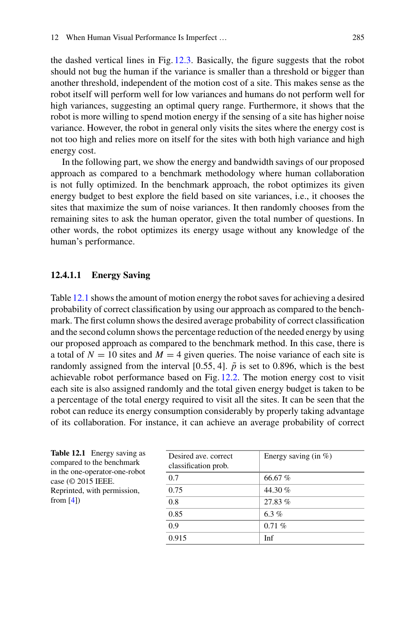the dashed vertical lines in Fig. [12.3.](#page-13-0) Basically, the figure suggests that the robot should not bug the human if the variance is smaller than a threshold or bigger than another threshold, independent of the motion cost of a site. This makes sense as the robot itself will perform well for low variances and humans do not perform well for high variances, suggesting an optimal query range. Furthermore, it shows that the robot is more willing to spend motion energy if the sensing of a site has higher noise variance. However, the robot in general only visits the sites where the energy cost is not too high and relies more on itself for the sites with both high variance and high energy cost.

In the following part, we show the energy and bandwidth savings of our proposed approach as compared to a benchmark methodology where human collaboration is not fully optimized. In the benchmark approach, the robot optimizes its given energy budget to best explore the field based on site variances, i.e., it chooses the sites that maximize the sum of noise variances. It then randomly chooses from the remaining sites to ask the human operator, given the total number of questions. In other words, the robot optimizes its energy usage without any knowledge of the human's performance.

#### **12.4.1.1 Energy Saving**

cas

 $fr<sub>0</sub>$ 

Table [12.1](#page-14-0) shows the amount of motion energy the robot saves for achieving a desired probability of correct classification by using our approach as compared to the benchmark. The first column shows the desired average probability of correct classification and the second column shows the percentage reduction of the needed energy by using our proposed approach as compared to the benchmark method. In this case, there is a total of  $N = 10$  sites and  $M = 4$  given queries. The noise variance of each site is randomly assigned from the interval [0.55, 4].  $\tilde{p}$  is set to 0.896, which is the best achievable robot performance based on Fig. [12.2.](#page-3-1) The motion energy cost to visit each site is also assigned randomly and the total given energy budget is taken to be a percentage of the total energy required to visit all the sites. It can be seen that the robot can reduce its energy consumption considerably by properly taking advantage of its collaboration. For instance, it can achieve an average probability of correct

<span id="page-14-0"></span>

| <b>Table 12.1</b> Energy saving as<br>compared to the benchmark | Desired ave. correct<br>classification prob. | Energy saving $(in \%)$ |
|-----------------------------------------------------------------|----------------------------------------------|-------------------------|
| in the one-operator-one-robot<br>case (© 2015 IEEE.             | 0.7                                          | 66.67%                  |
| Reprinted, with permission,<br>from $[4]$ )                     | 0.75                                         | 44.30%                  |
|                                                                 | 0.8                                          | 27.83%                  |
|                                                                 | 0.85                                         | 6.3 $%$                 |
|                                                                 | 0.9                                          | 0.71%                   |
|                                                                 | 0.915                                        | Inf                     |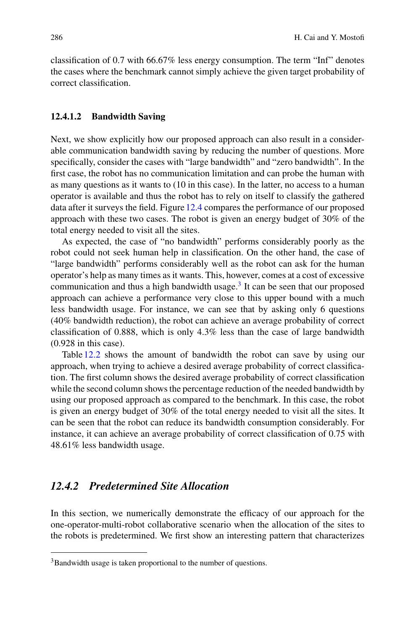classification of 0.7 with 66.67% less energy consumption. The term "Inf" denotes the cases where the benchmark cannot simply achieve the given target probability of correct classification.

#### <span id="page-15-1"></span>**12.4.1.2 Bandwidth Saving**

Next, we show explicitly how our proposed approach can also result in a considerable communication bandwidth saving by reducing the number of questions. More specifically, consider the cases with "large bandwidth" and "zero bandwidth". In the first case, the robot has no communication limitation and can probe the human with as many questions as it wants to (10 in this case). In the latter, no access to a human operator is available and thus the robot has to rely on itself to classify the gathered data after it surveys the field. Figure [12.4](#page-16-0) compares the performance of our proposed approach with these two cases. The robot is given an energy budget of 30% of the total energy needed to visit all the sites.

As expected, the case of "no bandwidth" performs considerably poorly as the robot could not seek human help in classification. On the other hand, the case of "large bandwidth" performs considerably well as the robot can ask for the human operator's help as many times as it wants. This, however, comes at a cost of excessive communication and thus a high bandwidth usage. $3$  It can be seen that our proposed approach can achieve a performance very close to this upper bound with a much less bandwidth usage. For instance, we can see that by asking only 6 questions (40% bandwidth reduction), the robot can achieve an average probability of correct classification of 0.888, which is only 4.3% less than the case of large bandwidth (0.928 in this case).

Table [12.2](#page-16-1) shows the amount of bandwidth the robot can save by using our approach, when trying to achieve a desired average probability of correct classification. The first column shows the desired average probability of correct classification while the second column shows the percentage reduction of the needed bandwidth by using our proposed approach as compared to the benchmark. In this case, the robot is given an energy budget of 30% of the total energy needed to visit all the sites. It can be seen that the robot can reduce its bandwidth consumption considerably. For instance, it can achieve an average probability of correct classification of 0.75 with 48.61% less bandwidth usage.

# *12.4.2 Predetermined Site Allocation*

In this section, we numerically demonstrate the efficacy of our approach for the one-operator-multi-robot collaborative scenario when the allocation of the sites to the robots is predetermined. We first show an interesting pattern that characterizes

<span id="page-15-0"></span><sup>3</sup>Bandwidth usage is taken proportional to the number of questions.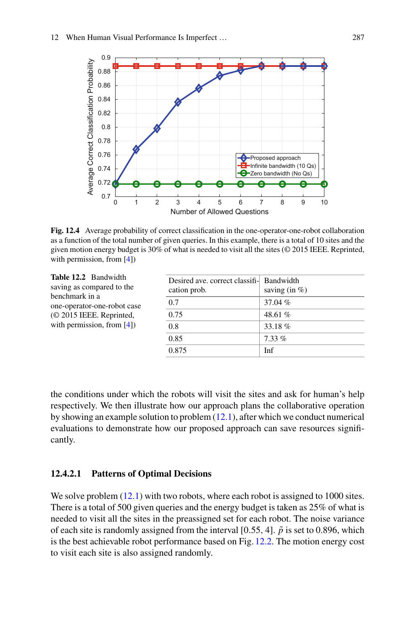

<span id="page-16-0"></span>**Fig. 12.4** Average probability of correct classification in the one-operator-one-robot collaboration as a function of the total number of given queries. In this example, there is a total of 10 sites and the given motion energy budget is 30% of what is needed to visit all the sites (© 2015 IEEE. Reprinted, with permission, from [\[4\]](#page-27-2))

<span id="page-16-1"></span>

| Table 12.2 Bandwidth<br>saving as compared to the<br>benchmark in a | Desired ave. correct classifi- Bandwidth<br>cation prob. | saving (in $%$ ) |  |
|---------------------------------------------------------------------|----------------------------------------------------------|------------------|--|
| one-operator-one-robot case                                         | 0.7                                                      | 37.04%           |  |
| (© 2015 IEEE. Reprinted,                                            | 0.75                                                     | 48.61 %          |  |
| with permission, from $[4]$ )                                       | 0.8                                                      | 33.18 %          |  |
|                                                                     | 0.85                                                     | $7.33\%$         |  |
|                                                                     | 0.875                                                    | Inf              |  |
|                                                                     |                                                          |                  |  |

the conditions under which the robots will visit the sites and ask for human's help respectively. We then illustrate how our approach plans the collaborative operation by showing an example solution to problem [\(12.1\)](#page-5-0), after which we conduct numerical evaluations to demonstrate how our proposed approach can save resources significantly.

#### **12.4.2.1 Patterns of Optimal Decisions**

We solve problem  $(12.1)$  with two robots, where each robot is assigned to 1000 sites. There is a total of 500 given queries and the energy budget is taken as 25% of what is needed to visit all the sites in the preassigned set for each robot. The noise variance of each site is randomly assigned from the interval [0.55, 4].  $\tilde{p}$  is set to 0.896, which is the best achievable robot performance based on Fig. [12.2.](#page-3-1) The motion energy cost to visit each site is also assigned randomly.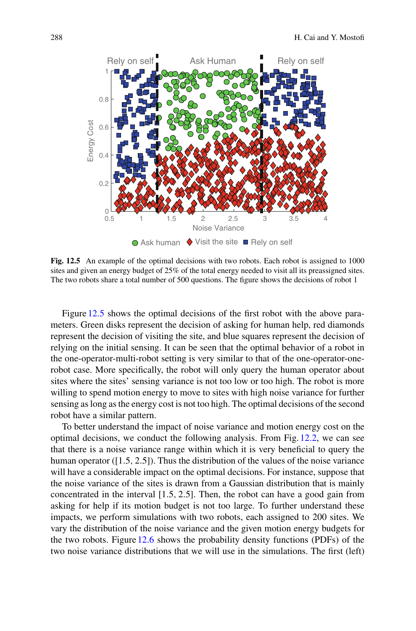

<span id="page-17-0"></span>**Fig. 12.5** An example of the optimal decisions with two robots. Each robot is assigned to 1000 sites and given an energy budget of 25% of the total energy needed to visit all its preassigned sites. The two robots share a total number of 500 questions. The figure shows the decisions of robot 1

Figure [12.5](#page-17-0) shows the optimal decisions of the first robot with the above parameters. Green disks represent the decision of asking for human help, red diamonds represent the decision of visiting the site, and blue squares represent the decision of relying on the initial sensing. It can be seen that the optimal behavior of a robot in the one-operator-multi-robot setting is very similar to that of the one-operator-onerobot case. More specifically, the robot will only query the human operator about sites where the sites' sensing variance is not too low or too high. The robot is more willing to spend motion energy to move to sites with high noise variance for further sensing as long as the energy cost is not too high. The optimal decisions of the second robot have a similar pattern.

To better understand the impact of noise variance and motion energy cost on the optimal decisions, we conduct the following analysis. From Fig. [12.2,](#page-3-1) we can see that there is a noise variance range within which it is very beneficial to query the human operator ([1.5, 2.5]). Thus the distribution of the values of the noise variance will have a considerable impact on the optimal decisions. For instance, suppose that the noise variance of the sites is drawn from a Gaussian distribution that is mainly concentrated in the interval [1.5, 2.5]. Then, the robot can have a good gain from asking for help if its motion budget is not too large. To further understand these impacts, we perform simulations with two robots, each assigned to 200 sites. We vary the distribution of the noise variance and the given motion energy budgets for the two robots. Figure [12.6](#page-18-0) shows the probability density functions (PDFs) of the two noise variance distributions that we will use in the simulations. The first (left)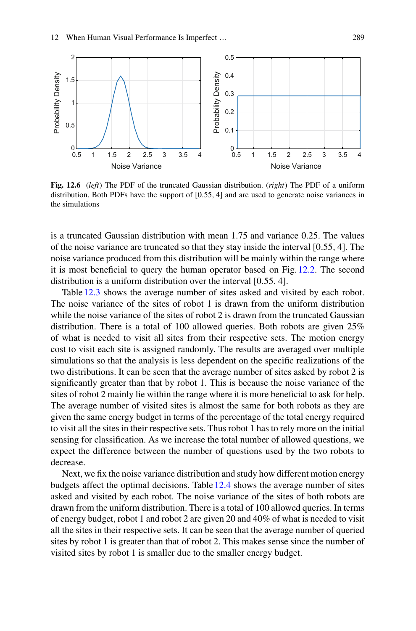

<span id="page-18-0"></span>**Fig. 12.6** (*left*) The PDF of the truncated Gaussian distribution. (*right*) The PDF of a uniform distribution. Both PDFs have the support of [0.55, 4] and are used to generate noise variances in the simulations

is a truncated Gaussian distribution with mean 1.75 and variance 0.25. The values of the noise variance are truncated so that they stay inside the interval [0.55, 4]. The noise variance produced from this distribution will be mainly within the range where it is most beneficial to query the human operator based on Fig. [12.2.](#page-3-1) The second distribution is a uniform distribution over the interval [0.55, 4].

Table [12.3](#page-19-0) shows the average number of sites asked and visited by each robot. The noise variance of the sites of robot 1 is drawn from the uniform distribution while the noise variance of the sites of robot 2 is drawn from the truncated Gaussian distribution. There is a total of 100 allowed queries. Both robots are given 25% of what is needed to visit all sites from their respective sets. The motion energy cost to visit each site is assigned randomly. The results are averaged over multiple simulations so that the analysis is less dependent on the specific realizations of the two distributions. It can be seen that the average number of sites asked by robot 2 is significantly greater than that by robot 1. This is because the noise variance of the sites of robot 2 mainly lie within the range where it is more beneficial to ask for help. The average number of visited sites is almost the same for both robots as they are given the same energy budget in terms of the percentage of the total energy required to visit all the sites in their respective sets. Thus robot 1 has to rely more on the initial sensing for classification. As we increase the total number of allowed questions, we expect the difference between the number of questions used by the two robots to decrease.

Next, we fix the noise variance distribution and study how different motion energy budgets affect the optimal decisions. Table [12.4](#page-19-1) shows the average number of sites asked and visited by each robot. The noise variance of the sites of both robots are drawn from the uniform distribution. There is a total of 100 allowed queries. In terms of energy budget, robot 1 and robot 2 are given 20 and 40% of what is needed to visit all the sites in their respective sets. It can be seen that the average number of queried sites by robot 1 is greater than that of robot 2. This makes sense since the number of visited sites by robot 1 is smaller due to the smaller energy budget.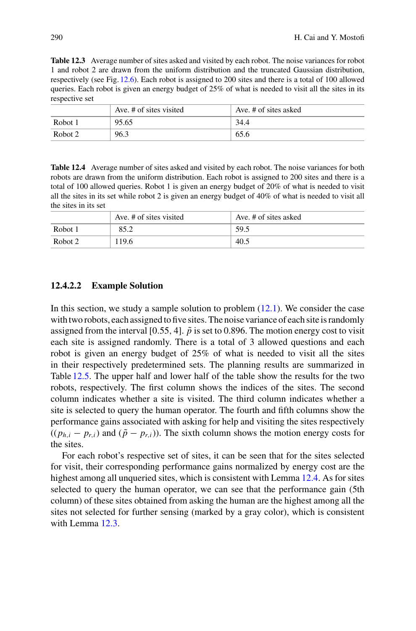<span id="page-19-0"></span>**Table 12.3** Average number of sites asked and visited by each robot. The noise variances for robot 1 and robot 2 are drawn from the uniform distribution and the truncated Gaussian distribution, respectively (see Fig. [12.6\)](#page-18-0). Each robot is assigned to 200 sites and there is a total of 100 allowed queries. Each robot is given an energy budget of 25% of what is needed to visit all the sites in its respective set

|         | Ave. # of sites visited | Ave, # of sites asked |
|---------|-------------------------|-----------------------|
| Robot 1 | 95.65                   | 34.4                  |
| Robot 2 | 96.3                    | 65.6                  |

<span id="page-19-1"></span>**Table 12.4** Average number of sites asked and visited by each robot. The noise variances for both robots are drawn from the uniform distribution. Each robot is assigned to 200 sites and there is a total of 100 allowed queries. Robot 1 is given an energy budget of 20% of what is needed to visit all the sites in its set while robot 2 is given an energy budget of 40% of what is needed to visit all the sites in its set

|         | Ave. # of sites visited | Ave, # of sites asked |
|---------|-------------------------|-----------------------|
| Robot 1 | 85.2                    | 59.5                  |
| Robot 2 | 119.6                   | 40.5                  |

#### **12.4.2.2 Example Solution**

In this section, we study a sample solution to problem [\(12.1\)](#page-5-0). We consider the case with two robots, each assigned to five sites. The noise variance of each site is randomly assigned from the interval [0.55, 4].  $\tilde{p}$  is set to 0.896. The motion energy cost to visit each site is assigned randomly. There is a total of 3 allowed questions and each robot is given an energy budget of 25% of what is needed to visit all the sites in their respectively predetermined sets. The planning results are summarized in Table [12.5.](#page-20-0) The upper half and lower half of the table show the results for the two robots, respectively. The first column shows the indices of the sites. The second column indicates whether a site is visited. The third column indicates whether a site is selected to query the human operator. The fourth and fifth columns show the performance gains associated with asking for help and visiting the sites respectively  $((p_{h,i} - p_{r,i})$  and  $(\tilde{p} - p_{r,i})$ ). The sixth column shows the motion energy costs for the sites.

For each robot's respective set of sites, it can be seen that for the sites selected for visit, their corresponding performance gains normalized by energy cost are the highest among all unqueried sites, which is consistent with Lemma [12.4.](#page-8-3) As for sites selected to query the human operator, we can see that the performance gain (5th column) of these sites obtained from asking the human are the highest among all the sites not selected for further sensing (marked by a gray color), which is consistent with Lemma [12.3.](#page-8-1)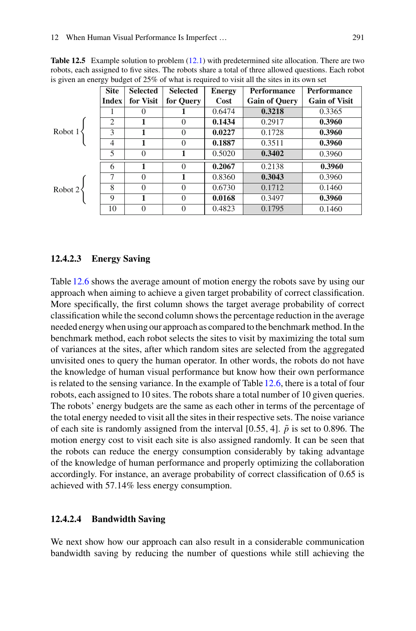|                 | <b>Site</b>    | <b>Selected</b> | <b>Selected</b> | <b>Energy</b> | <b>Performance</b>   | <b>Performance</b>   |
|-----------------|----------------|-----------------|-----------------|---------------|----------------------|----------------------|
|                 | <b>Index</b>   | for Visit       | for Query       | Cost          | <b>Gain of Query</b> | <b>Gain of Visit</b> |
|                 |                | $\theta$        | ш               | 0.6474        | 0.3218               | 0.3365               |
|                 | $\overline{2}$ | 1               | $\Omega$        | 0.1434        | 0.2917               | 0.3960               |
| Robot 1         | 3              |                 | $\Omega$        | 0.0227        | 0.1728               | 0.3960               |
|                 | $\overline{4}$ | 1               | $\Omega$        | 0.1887        | 0.3511               | 0.3960               |
|                 | 5              | $\Omega$        | 1               | 0.5020        | 0.3402               | 0.3960               |
|                 | 6              |                 | $\Omega$        | 0.2067        | 0.2138               | 0.3960               |
|                 | 7              | $\Omega$        | 1               | 0.8360        | 0.3043               | 0.3960               |
| Robot $2 \cdot$ | 8              | $\Omega$        | $\Omega$        | 0.6730        | 0.1712               | 0.1460               |
|                 | $\mathbf Q$    | 1               | $\Omega$        | 0.0168        | 0.3497               | 0.3960               |
|                 | 10             | $\Omega$        | $\Omega$        | 0.4823        | 0.1795               | 0.1460               |

<span id="page-20-0"></span>**Table 12.5** Example solution to problem  $(12.1)$  with predetermined site allocation. There are two robots, each assigned to five sites. The robots share a total of three allowed questions. Each robot is given an energy budget of 25% of what is required to visit all the sites in its own set

#### **12.4.2.3 Energy Saving**

Table [12.6](#page-21-0) shows the average amount of motion energy the robots save by using our approach when aiming to achieve a given target probability of correct classification. More specifically, the first column shows the target average probability of correct classification while the second column shows the percentage reduction in the average needed energy when using our approach as compared to the benchmark method. In the benchmark method, each robot selects the sites to visit by maximizing the total sum of variances at the sites, after which random sites are selected from the aggregated unvisited ones to query the human operator. In other words, the robots do not have the knowledge of human visual performance but know how their own performance is related to the sensing variance. In the example of Table [12.6,](#page-21-0) there is a total of four robots, each assigned to 10 sites. The robots share a total number of 10 given queries. The robots' energy budgets are the same as each other in terms of the percentage of the total energy needed to visit all the sites in their respective sets. The noise variance of each site is randomly assigned from the interval  $[0.55, 4]$ .  $\tilde{p}$  is set to 0.896. The motion energy cost to visit each site is also assigned randomly. It can be seen that the robots can reduce the energy consumption considerably by taking advantage of the knowledge of human performance and properly optimizing the collaboration accordingly. For instance, an average probability of correct classification of 0.65 is achieved with 57.14% less energy consumption.

#### **12.4.2.4 Bandwidth Saving**

We next show how our approach can also result in a considerable communication bandwidth saving by reducing the number of questions while still achieving the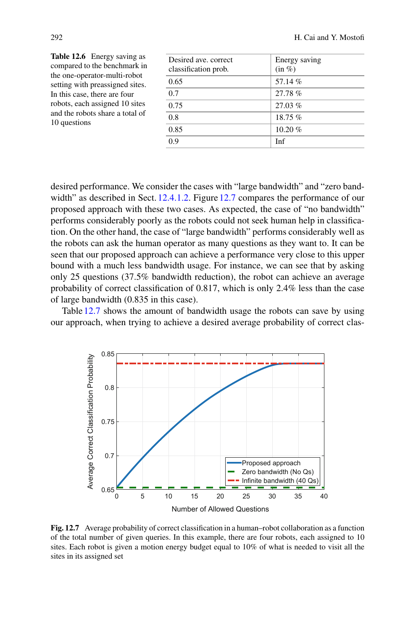<span id="page-21-0"></span>

| <b>Table 12.6</b> Energy saving as |
|------------------------------------|
| compared to the benchmark in       |
| the one-operator-multi-robot       |
| setting with preassigned sites.    |
| In this case, there are four       |
| robots, each assigned 10 sites     |
| and the robots share a total of    |
| 10 questions                       |

| Desired ave, correct<br>classification prob. | Energy saving<br>$(in \%)$ |
|----------------------------------------------|----------------------------|
| 0.65                                         | 57.14%                     |
| 0.7                                          | 27.78 %                    |
| 0.75                                         | 27.03 %                    |
| 0.8                                          | 18.75%                     |
| 0.85                                         | $10.20 \%$                 |
| 0.9                                          | Inf                        |
|                                              |                            |

desired performance. We consider the cases with "large bandwidth" and "zero band-width" as described in Sect. [12.4.1.2.](#page-15-1) Figure [12.7](#page-21-1) compares the performance of our proposed approach with these two cases. As expected, the case of "no bandwidth" performs considerably poorly as the robots could not seek human help in classification. On the other hand, the case of "large bandwidth" performs considerably well as the robots can ask the human operator as many questions as they want to. It can be seen that our proposed approach can achieve a performance very close to this upper bound with a much less bandwidth usage. For instance, we can see that by asking only 25 questions (37.5% bandwidth reduction), the robot can achieve an average probability of correct classification of 0.817, which is only 2.4% less than the case of large bandwidth (0.835 in this case).

Table [12.7](#page-22-0) shows the amount of bandwidth usage the robots can save by using our approach, when trying to achieve a desired average probability of correct clas-



<span id="page-21-1"></span>**Fig. 12.7** Average probability of correct classification in a human–robot collaboration as a function of the total number of given queries. In this example, there are four robots, each assigned to 10 sites. Each robot is given a motion energy budget equal to 10% of what is needed to visit all the sites in its assigned set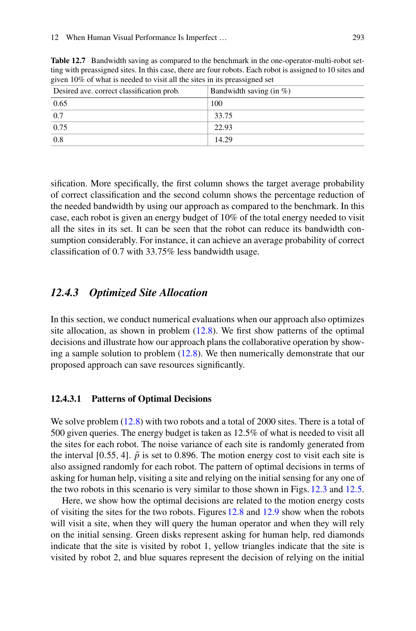| Desired ave. correct classification prob. | Bandwidth saving (in $\%$ ) |
|-------------------------------------------|-----------------------------|
| 0.65                                      | 100                         |
| 0.7                                       | 33.75                       |
| 0.75                                      | 22.93                       |
| 0.8                                       | 14.29                       |

<span id="page-22-0"></span>**Table 12.7** Bandwidth saving as compared to the benchmark in the one-operator-multi-robot setting with preassigned sites. In this case, there are four robots. Each robot is assigned to 10 sites and given 10% of what is needed to visit all the sites in its preassigned set

sification. More specifically, the first column shows the target average probability of correct classification and the second column shows the percentage reduction of the needed bandwidth by using our approach as compared to the benchmark. In this case, each robot is given an energy budget of 10% of the total energy needed to visit all the sites in its set. It can be seen that the robot can reduce its bandwidth consumption considerably. For instance, it can achieve an average probability of correct classification of 0.7 with 33.75% less bandwidth usage.

## *12.4.3 Optimized Site Allocation*

In this section, we conduct numerical evaluations when our approach also optimizes site allocation, as shown in problem  $(12.8)$ . We first show patterns of the optimal decisions and illustrate how our approach plans the collaborative operation by showing a sample solution to problem  $(12.8)$ . We then numerically demonstrate that our proposed approach can save resources significantly.

#### **12.4.3.1 Patterns of Optimal Decisions**

We solve problem  $(12.8)$  with two robots and a total of 2000 sites. There is a total of 500 given queries. The energy budget is taken as 12.5% of what is needed to visit all the sites for each robot. The noise variance of each site is randomly generated from the interval [0.55, 4].  $\tilde{p}$  is set to 0.896. The motion energy cost to visit each site is also assigned randomly for each robot. The pattern of optimal decisions in terms of asking for human help, visiting a site and relying on the initial sensing for any one of the two robots in this scenario is very similar to those shown in Figs. [12.3](#page-13-0) and [12.5.](#page-17-0)

Here, we show how the optimal decisions are related to the motion energy costs of visiting the sites for the two robots. Figures [12.8](#page-23-0) and [12.9](#page-24-0) show when the robots will visit a site, when they will query the human operator and when they will rely on the initial sensing. Green disks represent asking for human help, red diamonds indicate that the site is visited by robot 1, yellow triangles indicate that the site is visited by robot 2, and blue squares represent the decision of relying on the initial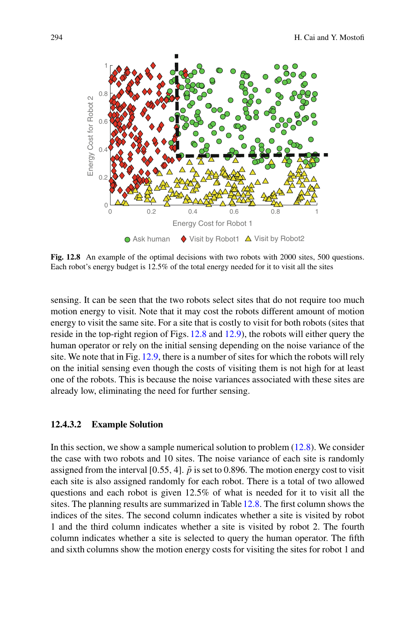

<span id="page-23-0"></span>Fig. 12.8 An example of the optimal decisions with two robots with 2000 sites, 500 questions. Each robot's energy budget is 12.5% of the total energy needed for it to visit all the sites

sensing. It can be seen that the two robots select sites that do not require too much motion energy to visit. Note that it may cost the robots different amount of motion energy to visit the same site. For a site that is costly to visit for both robots (sites that reside in the top-right region of Figs. [12.8](#page-23-0) and [12.9\)](#page-24-0), the robots will either query the human operator or rely on the initial sensing depending on the noise variance of the site. We note that in Fig. [12.9,](#page-24-0) there is a number of sites for which the robots will rely on the initial sensing even though the costs of visiting them is not high for at least one of the robots. This is because the noise variances associated with these sites are already low, eliminating the need for further sensing.

#### **12.4.3.2 Example Solution**

In this section, we show a sample numerical solution to problem [\(12.8\)](#page-10-0). We consider the case with two robots and 10 sites. The noise variance of each site is randomly assigned from the interval [0.55, 4].  $\tilde{p}$  is set to 0.896. The motion energy cost to visit each site is also assigned randomly for each robot. There is a total of two allowed questions and each robot is given 12.5% of what is needed for it to visit all the sites. The planning results are summarized in Table [12.8.](#page-24-1) The first column shows the indices of the sites. The second column indicates whether a site is visited by robot 1 and the third column indicates whether a site is visited by robot 2. The fourth column indicates whether a site is selected to query the human operator. The fifth and sixth columns show the motion energy costs for visiting the sites for robot 1 and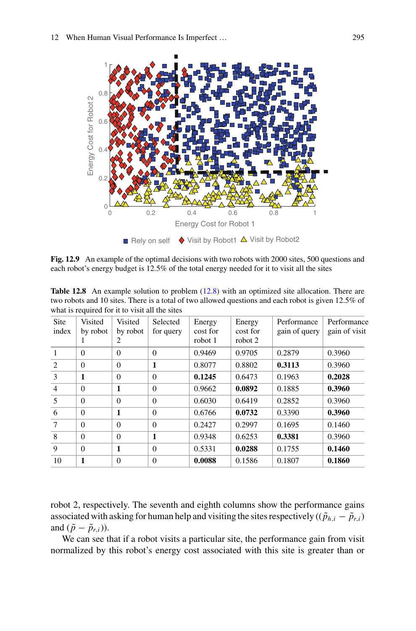

<span id="page-24-0"></span>**Fig. 12.9** An example of the optimal decisions with two robots with 2000 sites, 500 questions and each robot's energy budget is 12.5% of the total energy needed for it to visit all the sites

<span id="page-24-1"></span>

| <b>Table 12.8</b> An example solution to problem (12.8) with an optimized site allocation. There are |  |  |
|------------------------------------------------------------------------------------------------------|--|--|
| two robots and 10 sites. There is a total of two allowed questions and each robot is given 12.5% of  |  |  |
| what is required for it to visit all the sites                                                       |  |  |

| Site<br>index               | Visited<br>by robot | Visited<br>by robot<br>2 | Selected<br>for query | Energy<br>cost for<br>robot 1 | Energy<br>cost for<br>robot 2 | Performance<br>gain of query | Performance<br>gain of visit |
|-----------------------------|---------------------|--------------------------|-----------------------|-------------------------------|-------------------------------|------------------------------|------------------------------|
|                             | $\Omega$            | $\Omega$                 | $\Omega$              | 0.9469                        | 0.9705                        | 0.2879                       | 0.3960                       |
| $\mathcal{D}_{\mathcal{L}}$ | $\Omega$            | $\Omega$                 | 1                     | 0.8077                        | 0.8802                        | 0.3113                       | 0.3960                       |
| 3                           | 1                   | $\Omega$                 | $\Omega$              | 0.1245                        | 0.6473                        | 0.1963                       | 0.2028                       |
| $\overline{4}$              | $\Omega$            | 1                        | $\Omega$              | 0.9662                        | 0.0892                        | 0.1885                       | 0.3960                       |
| 5                           | $\Omega$            | $\Omega$                 | $\Omega$              | 0.6030                        | 0.6419                        | 0.2852                       | 0.3960                       |
| 6                           | $\Omega$            | 1                        | $\Omega$              | 0.6766                        | 0.0732                        | 0.3390                       | 0.3960                       |
| 7                           | $\Omega$            | $\Omega$                 | $\Omega$              | 0.2427                        | 0.2997                        | 0.1695                       | 0.1460                       |
| 8                           | $\Omega$            | $\Omega$                 | 1                     | 0.9348                        | 0.6253                        | 0.3381                       | 0.3960                       |
| 9                           | $\Omega$            | 1                        | $\Omega$              | 0.5331                        | 0.0288                        | 0.1755                       | 0.1460                       |
| 10                          | 1                   | $\Omega$                 | $\Omega$              | 0.0088                        | 0.1586                        | 0.1807                       | 0.1860                       |

robot 2, respectively. The seventh and eighth columns show the performance gains associated with asking for human help and visiting the sites respectively ( $(\tilde{p}_{h,i} - \tilde{p}_{r,i})$ and  $(\tilde{p} - \tilde{p}_{r,i})$ ).

We can see that if a robot visits a particular site, the performance gain from visit normalized by this robot's energy cost associated with this site is greater than or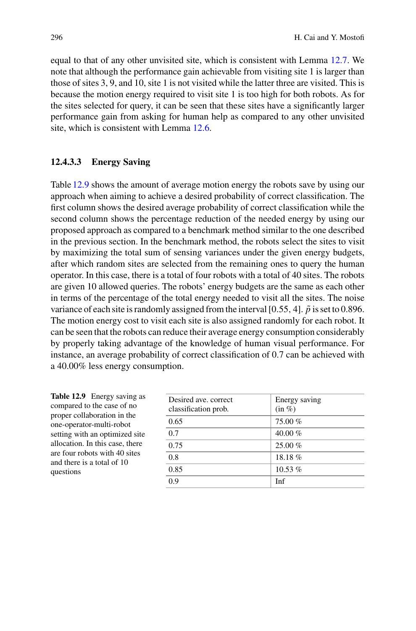equal to that of any other unvisited site, which is consistent with Lemma [12.7.](#page-11-1) We note that although the performance gain achievable from visiting site 1 is larger than those of sites 3, 9, and 10, site 1 is not visited while the latter three are visited. This is because the motion energy required to visit site 1 is too high for both robots. As for the sites selected for query, it can be seen that these sites have a significantly larger performance gain from asking for human help as compared to any other unvisited site, which is consistent with Lemma [12.6.](#page-11-0)

### **12.4.3.3 Energy Saving**

Table [12.9](#page-25-0) shows the amount of average motion energy the robots save by using our approach when aiming to achieve a desired probability of correct classification. The first column shows the desired average probability of correct classification while the second column shows the percentage reduction of the needed energy by using our proposed approach as compared to a benchmark method similar to the one described in the previous section. In the benchmark method, the robots select the sites to visit by maximizing the total sum of sensing variances under the given energy budgets, after which random sites are selected from the remaining ones to query the human operator. In this case, there is a total of four robots with a total of 40 sites. The robots are given 10 allowed queries. The robots' energy budgets are the same as each other in terms of the percentage of the total energy needed to visit all the sites. The noise variance of each site is randomly assigned from the interval [0.55, 4].  $\tilde{p}$  is set to 0.896. The motion energy cost to visit each site is also assigned randomly for each robot. It can be seen that the robots can reduce their average energy consumption considerably by properly taking advantage of the knowledge of human visual performance. For instance, an average probability of correct classification of 0.7 can be achieved with a 40.00% less energy consumption.

<span id="page-25-0"></span>

| <b>Table 12.9</b> Energy saving as<br>compared to the case of no<br>proper collaboration in the<br>one-operator-multi-robot<br>setting with an optimized site<br>allocation. In this case, there<br>are four robots with 40 sites<br>and there is a total of 10<br>questions | Desired ave, correct<br>classification prob. | Energy saving<br>$(in \%)$ |
|------------------------------------------------------------------------------------------------------------------------------------------------------------------------------------------------------------------------------------------------------------------------------|----------------------------------------------|----------------------------|
|                                                                                                                                                                                                                                                                              | 0.65                                         | 75.00 %                    |
|                                                                                                                                                                                                                                                                              | 0.7                                          | 40.00 $%$                  |
|                                                                                                                                                                                                                                                                              | 0.75                                         | $25.00\%$                  |
|                                                                                                                                                                                                                                                                              | 0.8                                          | 18.18%                     |
|                                                                                                                                                                                                                                                                              | 0.85                                         | $10.53\%$                  |
|                                                                                                                                                                                                                                                                              | 0.9                                          | Inf                        |
|                                                                                                                                                                                                                                                                              |                                              |                            |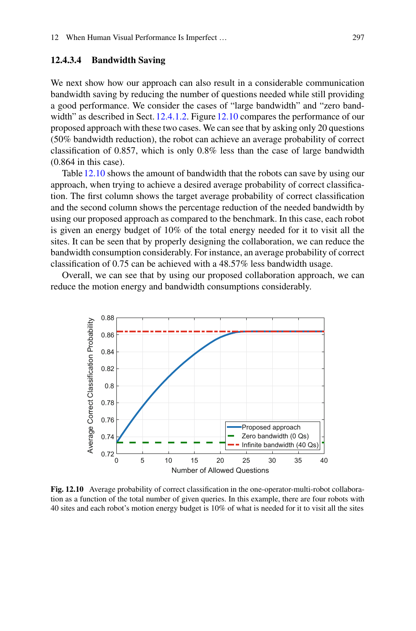#### **12.4.3.4 Bandwidth Saving**

We next show how our approach can also result in a considerable communication bandwidth saving by reducing the number of questions needed while still providing a good performance. We consider the cases of "large bandwidth" and "zero band-width" as described in Sect. [12.4.1.2.](#page-15-1) Figure [12.10](#page-26-0) compares the performance of our proposed approach with these two cases. We can see that by asking only 20 questions (50% bandwidth reduction), the robot can achieve an average probability of correct classification of 0.857, which is only 0.8% less than the case of large bandwidth (0.864 in this case).

Table [12.10](#page-27-6) shows the amount of bandwidth that the robots can save by using our approach, when trying to achieve a desired average probability of correct classification. The first column shows the target average probability of correct classification and the second column shows the percentage reduction of the needed bandwidth by using our proposed approach as compared to the benchmark. In this case, each robot is given an energy budget of 10% of the total energy needed for it to visit all the sites. It can be seen that by properly designing the collaboration, we can reduce the bandwidth consumption considerably. For instance, an average probability of correct classification of 0.75 can be achieved with a 48.57% less bandwidth usage.

Overall, we can see that by using our proposed collaboration approach, we can reduce the motion energy and bandwidth consumptions considerably.



<span id="page-26-0"></span>**Fig. 12.10** Average probability of correct classification in the one-operator-multi-robot collaboration as a function of the total number of given queries. In this example, there are four robots with 40 sites and each robot's motion energy budget is 10% of what is needed for it to visit all the sites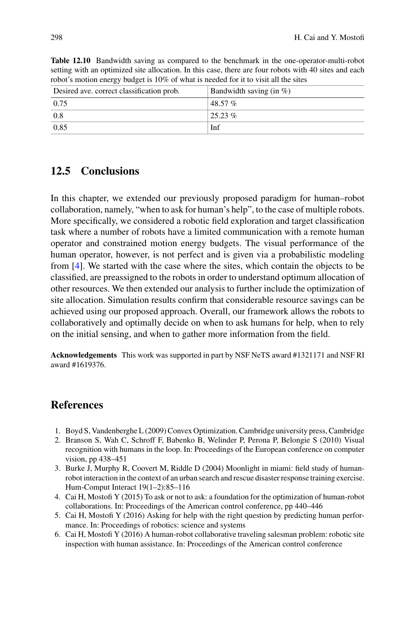Desired ave. correct classification prob. Bandwidth saving (in  $\%$ )  $0.75$  48.57 % 0.8 25.23 %  $0.85$  Inf

<span id="page-27-6"></span>**Table 12.10** Bandwidth saving as compared to the benchmark in the one-operator-multi-robot setting with an optimized site allocation. In this case, there are four robots with 40 sites and each robot's motion energy budget is 10% of what is needed for it to visit all the sites

# **12.5 Conclusions**

In this chapter, we extended our previously proposed paradigm for human–robot collaboration, namely, "when to ask for human's help", to the case of multiple robots. More specifically, we considered a robotic field exploration and target classification task where a number of robots have a limited communication with a remote human operator and constrained motion energy budgets. The visual performance of the human operator, however, is not perfect and is given via a probabilistic modeling from [\[4](#page-27-2)]. We started with the case where the sites, which contain the objects to be classified, are preassigned to the robots in order to understand optimum allocation of other resources. We then extended our analysis to further include the optimization of site allocation. Simulation results confirm that considerable resource savings can be achieved using our proposed approach. Overall, our framework allows the robots to collaboratively and optimally decide on when to ask humans for help, when to rely on the initial sensing, and when to gather more information from the field.

**Acknowledgements** This work was supported in part by NSF NeTS award #1321171 and NSF RI award #1619376.

# **References**

- <span id="page-27-5"></span>1. Boyd S, Vandenberghe L (2009) Convex Optimization. Cambridge university press, Cambridge
- <span id="page-27-0"></span>2. Branson S, Wah C, Schroff F, Babenko B, Welinder P, Perona P, Belongie S (2010) Visual recognition with humans in the loop. In: Proceedings of the European conference on computer vision, pp 438–451
- <span id="page-27-1"></span>3. Burke J, Murphy R, Coovert M, Riddle D (2004) Moonlight in miami: field study of humanrobot interaction in the context of an urban search and rescue disaster response training exercise. Hum-Comput Interact 19(1–2):85–116
- <span id="page-27-2"></span>4. Cai H, Mostofi Y (2015) To ask or not to ask: a foundation for the optimization of human-robot collaborations. In: Proceedings of the American control conference, pp 440–446
- <span id="page-27-4"></span>5. Cai H, Mostofi Y (2016) Asking for help with the right question by predicting human performance. In: Proceedings of robotics: science and systems
- <span id="page-27-3"></span>6. Cai H, Mostofi Y (2016) A human-robot collaborative traveling salesman problem: robotic site inspection with human assistance. In: Proceedings of the American control conference